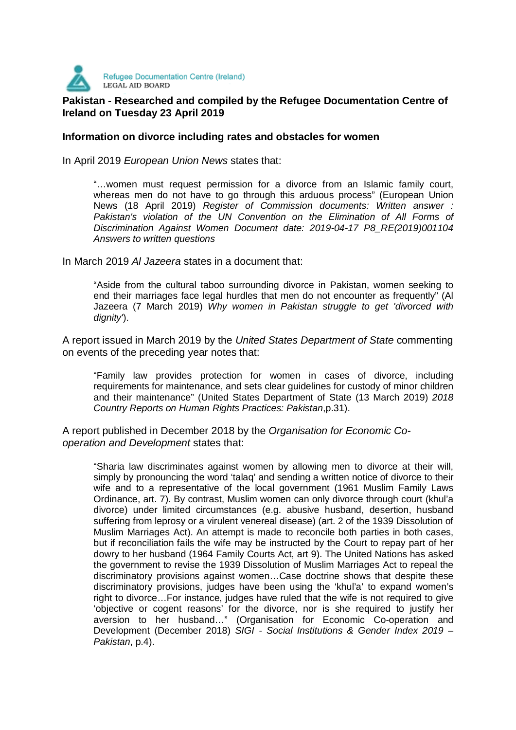

# **Pakistan - Researched and compiled by the Refugee Documentation Centre of** <br>Pakistan - Researched and compiled by the Refugee Documentation Centre of **Ireland on Tuesday 23 April 2019**

#### **Information on divorce including rates and obstacles for women**

In April 2019 European Union News states that:

"…women must request permission for a divorce from an Islamic family court, whereas men do not have to go through this arduous process" (European Union News (18 April 2019) Register of Commission documents: Written answer : Pakistan's violation of the UN Convention on the Elimination of All Forms of Discrimination Against Women Document date: 2019-04-17 P8\_RE(2019)001104 Answers to written questions

In March 2019 Al Jazeera states in a document that:

"Aside from the cultural taboo surrounding divorce in Pakistan, women seeking to end their marriages face legal hurdles that men do not encounter as frequently" (Al Jazeera (7 March 2019) Why women in Pakistan struggle to get 'divorced with dignity').

A report issued in March 2019 by the United States Department of State commenting on events of the preceding year notes that:

"Family law provides protection for women in cases of divorce, including requirements for maintenance, and sets clear guidelines for custody of minor children and their maintenance" (United States Department of State (13 March 2019) 2018 Country Reports on Human Rights Practices: Pakistan,p.31).

A report published in December 2018 by the Organisation for Economic Cooperation and Development states that:

"Sharia law discriminates against women by allowing men to divorce at their will, simply by pronouncing the word 'talaq' and sending a written notice of divorce to their wife and to a representative of the local government (1961 Muslim Family Laws Ordinance, art. 7). By contrast, Muslim women can only divorce through court (khul'a divorce) under limited circumstances (e.g. abusive husband, desertion, husband suffering from leprosy or a virulent venereal disease) (art. 2 of the 1939 Dissolution of Muslim Marriages Act). An attempt is made to reconcile both parties in both cases, but if reconciliation fails the wife may be instructed by the Court to repay part of her dowry to her husband (1964 Family Courts Act, art 9). The United Nations has asked the government to revise the 1939 Dissolution of Muslim Marriages Act to repeal the discriminatory provisions against women…Case doctrine shows that despite these discriminatory provisions, judges have been using the 'khul'a' to expand women's right to divorce…For instance, judges have ruled that the wife is not required to give 'objective or cogent reasons' for the divorce, nor is she required to justify her aversion to her husband…" (Organisation for Economic Co-operation and Development (December 2018) SIGI - Social Institutions & Gender Index 2019 – Pakistan, p.4).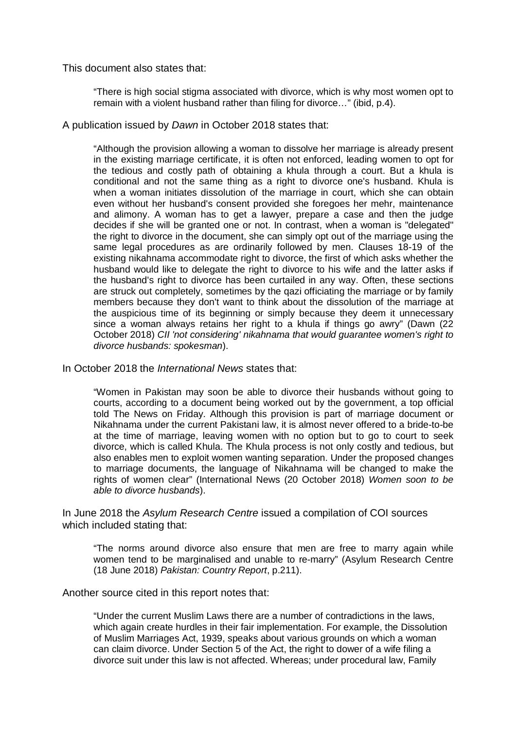This document also states that:

"There is high social stigma associated with divorce, which is why most women opt to remain with a violent husband rather than filing for divorce…" (ibid, p.4).

A publication issued by Dawn in October 2018 states that:

"Although the provision allowing a woman to dissolve her marriage is already present in the existing marriage certificate, it is often not enforced, leading women to opt for the tedious and costly path of obtaining a khula through a court. But a khula is conditional and not the same thing as a right to divorce one's husband. Khula is when a woman initiates dissolution of the marriage in court, which she can obtain even without her husband's consent provided she foregoes her mehr, maintenance and alimony. A woman has to get a lawyer, prepare a case and then the judge decides if she will be granted one or not. In contrast, when a woman is "delegated" the right to divorce in the document, she can simply opt out of the marriage using the same legal procedures as are ordinarily followed by men. Clauses 18-19 of the existing nikahnama accommodate right to divorce, the first of which asks whether the husband would like to delegate the right to divorce to his wife and the latter asks if the husband's right to divorce has been curtailed in any way. Often, these sections are struck out completely, sometimes by the qazi officiating the marriage or by family members because they don't want to think about the dissolution of the marriage at the auspicious time of its beginning or simply because they deem it unnecessary since a woman always retains her right to a khula if things go awry" (Dawn (22 October 2018) CII 'not considering' nikahnama that would guarantee women's right to divorce husbands: spokesman).

In October 2018 the International News states that:

"Women in Pakistan may soon be able to divorce their husbands without going to courts, according to a document being worked out by the government, a top official told The News on Friday. Although this provision is part of marriage document or Nikahnama under the current Pakistani law, it is almost never offered to a bride-to-be at the time of marriage, leaving women with no option but to go to court to seek divorce, which is called Khula. The Khula process is not only costly and tedious, but also enables men to exploit women wanting separation. Under the proposed changes to marriage documents, the language of Nikahnama will be changed to make the rights of women clear" (International News (20 October 2018) Women soon to be able to divorce husbands).

In June 2018 the Asylum Research Centre issued a compilation of COI sources which included stating that:

"The norms around divorce also ensure that men are free to marry again while women tend to be marginalised and unable to re-marry" (Asylum Research Centre (18 June 2018) Pakistan: Country Report, p.211).

Another source cited in this report notes that:

"Under the current Muslim Laws there are a number of contradictions in the laws, which again create hurdles in their fair implementation. For example, the Dissolution of Muslim Marriages Act, 1939, speaks about various grounds on which a woman can claim divorce. Under Section 5 of the Act, the right to dower of a wife filing a divorce suit under this law is not affected. Whereas; under procedural law, Family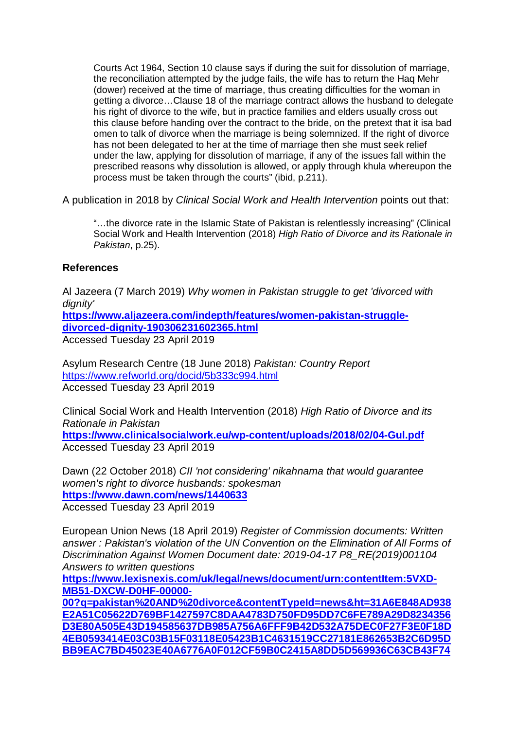Courts Act 1964, Section 10 clause says if during the suit for dissolution of marriage, the reconciliation attempted by the judge fails, the wife has to return the Haq Mehr (dower) received at the time of marriage, thus creating difficulties for the woman in getting a divorce…Clause 18 of the marriage contract allows the husband to delegate his right of divorce to the wife, but in practice families and elders usually cross out this clause before handing over the contract to the bride, on the pretext that it isa bad omen to talk of divorce when the marriage is being solemnized. If the right of divorce has not been delegated to her at the time of marriage then she must seek relief under the law, applying for dissolution of marriage, if any of the issues fall within the prescribed reasons why dissolution is allowed, or apply through khula whereupon the process must be taken through the courts" (ibid, p.211).

A publication in 2018 by Clinical Social Work and Health Intervention points out that:

"…the divorce rate in the Islamic State of Pakistan is relentlessly increasing" (Clinical Social Work and Health Intervention (2018) High Ratio of Divorce and its Rationale in Pakistan, p.25).

### **References**

Al Jazeera (7 March 2019) Why women in Pakistan struggle to get 'divorced with dianity'

**https://www.aljazeera.com/indepth/features/women-pakistan-struggledivorced-dignity-190306231602365.html**

Accessed Tuesday 23 April 2019

Asylum Research Centre (18 June 2018) Pakistan: Country Report https://www.refworld.org/docid/5b333c994.html Accessed Tuesday 23 April 2019

Clinical Social Work and Health Intervention (2018) High Ratio of Divorce and its Rationale in Pakistan **https://www.clinicalsocialwork.eu/wp-content/uploads/2018/02/04-Gul.pdf**

Accessed Tuesday 23 April 2019

Dawn (22 October 2018) CII 'not considering' nikahnama that would guarantee women's right to divorce husbands: spokesman **https://www.dawn.com/news/1440633**

Accessed Tuesday 23 April 2019

European Union News (18 April 2019) Register of Commission documents: Written answer : Pakistan's violation of the UN Convention on the Elimination of All Forms of Discrimination Against Women Document date: 2019-04-17 P8\_RE(2019)001104 Answers to written questions

https://www.lexisnexis.com/uk/legal/news/document/urn:contentItem:5VXD-**MB51-DXCW-D0HF-00000-**

**00?q=pakistan%20AND%20divorce&contentTypeId=news&ht=31A6E848AD938 E2A51C05622D769BF1427597C8DAA4783D750FD95DD7C6FE789A29D8234356 D3E80A505E43D194585637DB985A756A6FFF9B42D532A75DEC0F27F3E0F18D 4EB0593414E03C03B15F03118E05423B1C4631519CC27181E862653B2C6D95D BB9EAC7BD45023E40A6776A0F012CF59B0C2415A8DD5D569936C63CB43F74**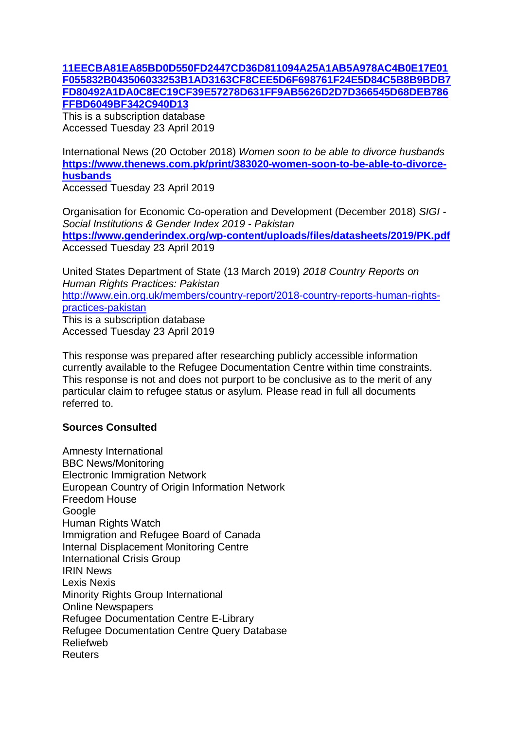## **11EECBA81EA85BD0D550FD2447CD36D811094A25A1AB5A978AC4B0E17E01 F055832B043506033253B1AD3163CF8CEE5D6F698761F24E5D84C5B8B9BDB7 FD80492A1DA0C8EC19CF39E57278D631FF9AB5626D2D7D366545D68DEB786 FFBD6049BF342C940D13**

This is a subscription database Accessed Tuesday 23 April 2019

International News (20 October 2018) Women soon to be able to divorce husbands **https://www.thenews.com.pk/print/383020-women-soon-to-be-able-to-divorcehusbands**

Accessed Tuesday 23 April 2019

Organisation for Economic Co-operation and Development (December 2018) SIGI - Social Institutions & Gender Index 2019 - Pakistan **https://www.genderindex.org/wp-content/uploads/files/datasheets/2019/PK.pdf** Accessed Tuesday 23 April 2019

United States Department of State (13 March 2019) 2018 Country Reports on Human Rights Practices: Pakistan http://www.ein.org.uk/members/country-report/2018-country-reports-human-rightspractices-pakistan This is a subscription database Accessed Tuesday 23 April 2019

This response was prepared after researching publicly accessible information currently available to the Refugee Documentation Centre within time constraints. This response is not and does not purport to be conclusive as to the merit of any particular claim to refugee status or asylum. Please read in full all documents referred to.

## **Sources Consulted**

Amnesty International BBC News/Monitoring Electronic Immigration Network European Country of Origin Information Network Freedom House **Google** Human Rights Watch Immigration and Refugee Board of Canada Internal Displacement Monitoring Centre International Crisis Group IRIN News Lexis Nexis Minority Rights Group International Online Newspapers Refugee Documentation Centre E-Library Refugee Documentation Centre Query Database Reliefweb **Reuters**